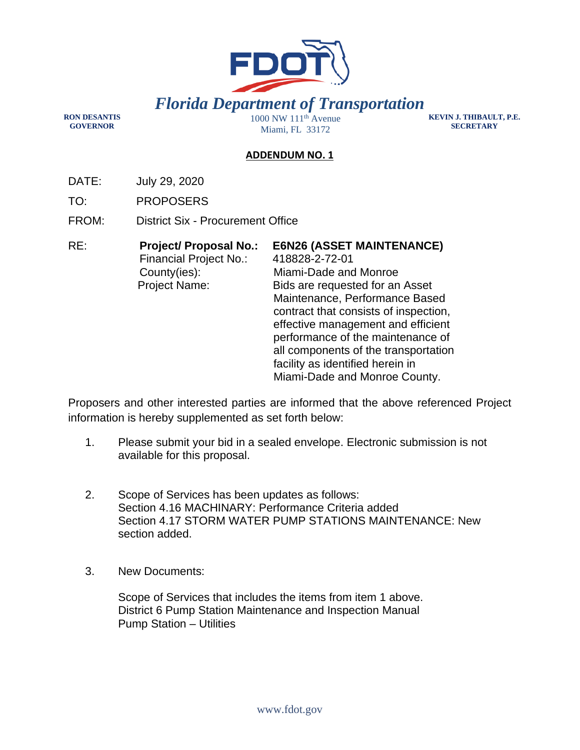

**RON DESANTIS GOVERNOR** 

Miami, FL 33172

**KEVIN J. THIBAULT, P.E. SECRETARY** 

## **ADDENDUM NO. 1**

DATE: July 29, 2020

TO: PROPOSERS

FROM: District Six - Procurement Office

| RE: | <b>Project/ Proposal No.:</b><br><b>Financial Project No.:</b> | <b>E6N26 (ASSET MAINTENANCE)</b><br>418828-2-72-01 |
|-----|----------------------------------------------------------------|----------------------------------------------------|
|     | County(ies):                                                   | Miami-Dade and Monroe                              |
|     | <b>Project Name:</b>                                           | Bids are requested for an Asset                    |
|     |                                                                | Maintenance, Performance Based                     |
|     |                                                                | contract that consists of inspection,              |
|     |                                                                | effective management and efficient                 |
|     |                                                                | performance of the maintenance of                  |
|     |                                                                | all components of the transportation               |
|     |                                                                | facility as identified herein in                   |
|     |                                                                | Miami-Dade and Monroe County.                      |

Proposers and other interested parties are informed that the above referenced Project information is hereby supplemented as set forth below:

- 1. Please submit your bid in a sealed envelope. Electronic submission is not available for this proposal.
- 2. Scope of Services has been updates as follows: Section 4.16 MACHINARY: Performance Criteria added Section 4.17 STORM WATER PUMP STATIONS MAINTENANCE: New section added.
- 3. New Documents:

 Scope of Services that includes the items from item 1 above. District 6 Pump Station Maintenance and Inspection Manual Pump Station – Utilities